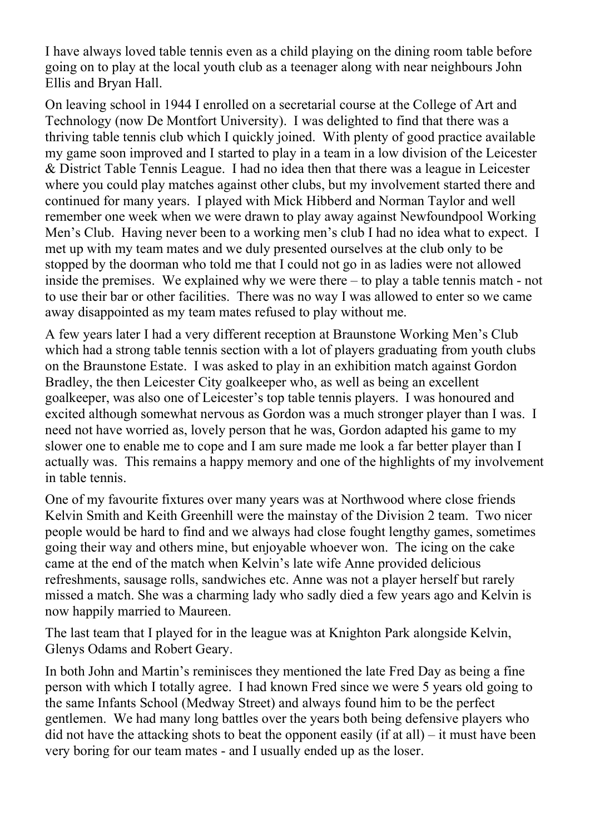I have always loved table tennis even as a child playing on the dining room table before going on to play at the local youth club as a teenager along with near neighbours John Ellis and Bryan Hall.

On leaving school in 1944 I enrolled on a secretarial course at the College of Art and Technology (now De Montfort University). I was delighted to find that there was a thriving table tennis club which I quickly joined. With plenty of good practice available my game soon improved and I started to play in a team in a low division of the Leicester & District Table Tennis League. I had no idea then that there was a league in Leicester where you could play matches against other clubs, but my involvement started there and continued for many years. I played with Mick Hibberd and Norman Taylor and well remember one week when we were drawn to play away against Newfoundpool Working Men's Club. Having never been to a working men's club I had no idea what to expect. I met up with my team mates and we duly presented ourselves at the club only to be stopped by the doorman who told me that I could not go in as ladies were not allowed inside the premises. We explained why we were there – to play a table tennis match - not to use their bar or other facilities. There was no way I was allowed to enter so we came away disappointed as my team mates refused to play without me.

A few years later I had a very different reception at Braunstone Working Men's Club which had a strong table tennis section with a lot of players graduating from youth clubs on the Braunstone Estate. I was asked to play in an exhibition match against Gordon Bradley, the then Leicester City goalkeeper who, as well as being an excellent goalkeeper, was also one of Leicester's top table tennis players. I was honoured and excited although somewhat nervous as Gordon was a much stronger player than I was. I need not have worried as, lovely person that he was, Gordon adapted his game to my slower one to enable me to cope and I am sure made me look a far better player than I actually was. This remains a happy memory and one of the highlights of my involvement in table tennis.

One of my favourite fixtures over many years was at Northwood where close friends Kelvin Smith and Keith Greenhill were the mainstay of the Division 2 team. Two nicer people would be hard to find and we always had close fought lengthy games, sometimes going their way and others mine, but enjoyable whoever won. The icing on the cake came at the end of the match when Kelvin's late wife Anne provided delicious refreshments, sausage rolls, sandwiches etc. Anne was not a player herself but rarely missed a match. She was a charming lady who sadly died a few years ago and Kelvin is now happily married to Maureen.

The last team that I played for in the league was at Knighton Park alongside Kelvin, Glenys Odams and Robert Geary.

In both John and Martin's reminisces they mentioned the late Fred Day as being a fine person with which I totally agree. I had known Fred since we were 5 years old going to the same Infants School (Medway Street) and always found him to be the perfect gentlemen. We had many long battles over the years both being defensive players who did not have the attacking shots to beat the opponent easily (if at all) – it must have been very boring for our team mates - and I usually ended up as the loser.